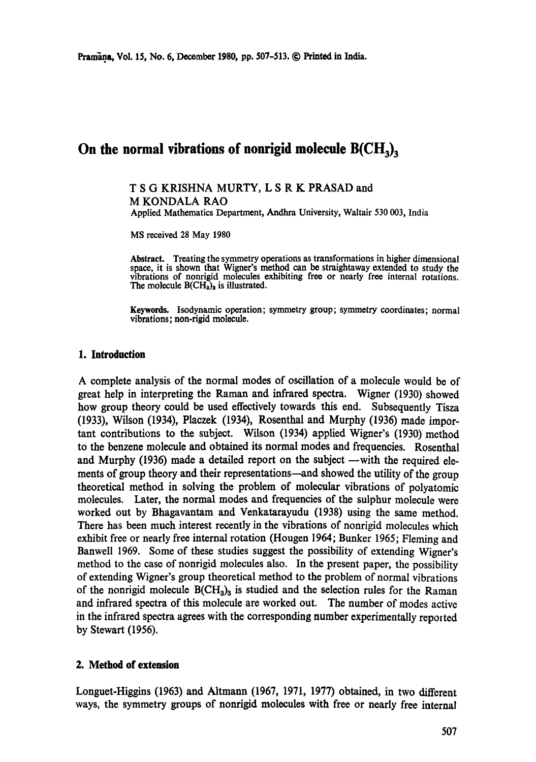# On the normal vibrations of nonrigid molecule B(CH<sub>3</sub>),

# T S G KRISHNA MURTY, L S R K PRASAD and M KONDALA RAO

Applied Mathematics Department, Andhra University, Waltair 530 003, India

MS received 28 May 1980

Abstract. Treating the symmetry operations as transformations in higher dimensional space, it is shown that Wigner's method can be straightaway extended to study the vibrations of nonrigid molecules exhibiting free or nearly free internal rotations. The molecule  $B(CH<sub>3</sub>)<sub>3</sub>$  is illustrated.

**Keywords.** Isodynamic operation; symmetry group; symmetry coordinates; normal vibrations; non-rigid molecule.

## **1. Introduction**

A complete analysis of the normal modes of oscillation of a molecule would be of great help in interpreting the Raman and infrared spectra. Wigner (1930) showed how group theory could be used effectively towards this end. Subsequently Tisza (1933), Wilson (1934), Placzek (1934), Rosenthal and Murphy (1936) made important contributions to the subject. Wilson (1934) applied Wigner's (1930) method to the benzene molecule and obtained its normal modes and frequencies. Rosenthal and Murphy (1936) made a detailed report on the subject  $-\text{with the required ele-}$ ments of group theory and their representations—and showed the utility of the group theoretical method in solving the problem of molecular vibrations of polyatomic molecules. Later, the normal modes and frequencies of the sulphur molecule were worked out by Bhagavantam and Venkatarayudu (1938) using the same method. There has been much interest recently in the vibrations of nonrigid molecules which exhibit free or nearly free internal rotation (Hougen 1964; Bunker 1965; Fleming and Banwell 1969. Some of these studies suggest the possibility of extending Wigner's method to the case of nonrigid molecules also. In the present paper, the possibility of extending Wigner's group theoretical method to the problem of normal vibrations of the nonrigid molecule  $B(CH_3)_3$  is studied and the selection rules for the Raman and infrared spectra of this molecule are worked out. The number of modes active in the infrared spectra agrees with the corresponding number experimentally reported by Stewart (1956).

#### **2. Method of extension**

Longuet-Higgins (1963) and Altmann (1967, I971, 1977) obtained, in two different ways, the symmetry groups of nonrigid molecules with free or nearly free internal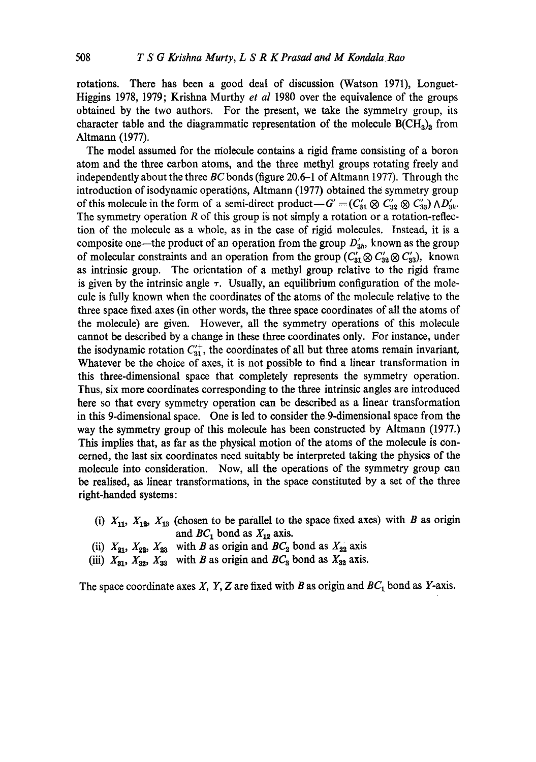rotations. There has been a good deal of discussion (Watson 1971), Longuet-Higgins 1978, 1979; Krishna Murthy *et al* 1980 over the equivalence of the groups obtained by the two authors. For the present, we take the symmetry group, its character table and the diagrammatic representation of the molecule  $B(CH_3)_3$  from Altmann (1977).

The model assumed for the molecule contains a rigid frame consisting of a boron atom and the three carbon atoms, and the three methyl groups rotating freely and independently about the three *BC* bonds (figure 20.6–1 of Altmann 1977). Through the introduction of isodynamic operations, Altmann (1977) obtained the symmetry group of this molecule in the form of a semi-direct product $-G' = (C'_{31} \otimes C'_{32} \otimes C'_{33}) \wedge D'_{3h}$ . The symmetry operation  $R$  of this group is not simply a rotation or a rotation-reflection of the molecule as a whole, as in the case of rigid molecules. Instead, it is a composite one—the product of an operation from the group  $D'_{3h}$ , known as the group of molecular constraints and an operation from the group  $(C_{31} \otimes C_{32} \otimes C_{33})$ , known as intrinsic group. The orientation of a methyl group relative to the rigid frame is given by the intrinsic angle  $\tau$ . Usually, an equilibrium configuration of the molecule is fully known when the coordinates of the atoms of the molecule relative to the three space fixed axes (in other words, the three space coordinates of all the atoms of the molecule) are given. However, all the symmetry operations of this molecule cannot be described by a change in these three coordinates only. For instance, under the isodynamic rotation  $C_{31}^+$ , the coordinates of all but three atoms remain invariant, Whatever be the choice of axes, it is not possible to find a linear transformation in this three-dimensional space that completely represents the symmetry operation. Thus, six more coordinates corresponding to the three intrinsic angles are introduced here so that every symmetry operation can be described as a linear transformation in this 9-dimensional space. One is led to consider the 9-dimensional space from the way the symmetry group of this molecule has been constructed by Altmann (1977.) This implies that, as far as the physical motion of the atoms of the molecule is concerned, the last six coordinates need suitably be interpreted taking the physics of the molecule into consideration. Now, all the operations of the symmetry group can be realised, as linear transformations, in the space constituted by a set of the three right-handed systems:

- (i)  $X_{11}$ ,  $X_{12}$ ,  $X_{13}$  (chosen to be parallel to the space fixed axes) with B as origin and  $BC_1$  bond as  $X_{12}$  axis.
- (ii)  $X_{21}$ ,  $X_{22}$ ,  $X_{23}$  with B as origin and  $BC_2$  bond as  $X_{22}$  axis
- (iii)  $X_{31}$ ,  $X_{32}$ ,  $X_{33}$  with *B* as origin and *BC*<sub>3</sub> bond as  $X_{32}$  axis.

The space coordinate axes X, Y, Z are fixed with B as origin and  $BC_1$  bond as Y-axis.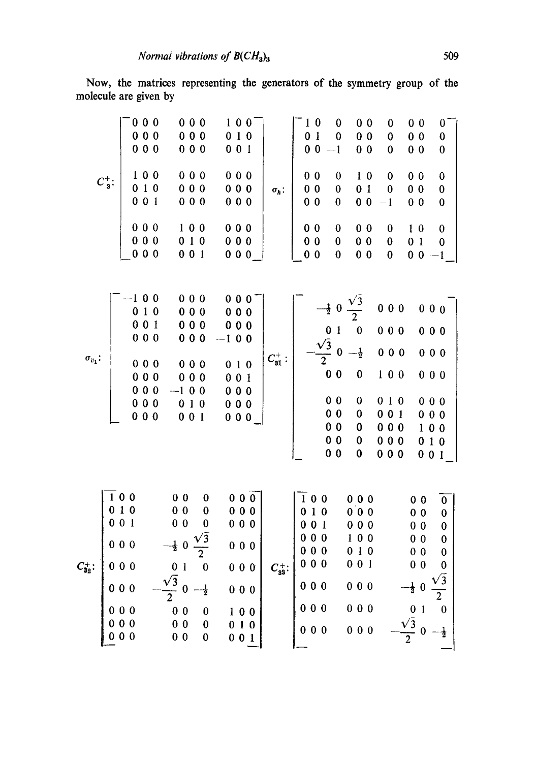Now, the matrices representing the generators of the symmetry group of the molecule are given by

| $C^+_{\mathbf{3}}$ :    | 000<br>000<br>000<br>100<br>010<br>001<br>000<br>000<br>000         |                                            | 000<br>000<br>000<br>000<br>000<br>000<br>100<br>010<br>001                                                        |                                                                                                                            | 000<br>000<br>000<br>000<br>000<br>000                         | 100<br>010<br>001 |                                                             | $\sigma_h$ :     | 0 <sub>1</sub><br>0 <sub>0</sub><br>0 <sub>0</sub><br>$0\,0$<br>0 <sub>0</sub><br>0 <sub>0</sub><br>0 <sub>0</sub><br>0 <sub>0</sub> | $1\,0$                                                      | $\bf{0}$<br>$\bf{0}$<br>$-1$<br>$\bf{0}$<br>$\bf{0}$<br>$\bf{0}$<br>$\boldsymbol{0}$<br>$\bf{0}$<br>$\bf{0}$ | 0 <sub>1</sub><br>0 <sub>0</sub>                                                                                                          | 0 <sub>0</sub><br>0 <sub>0</sub><br>0 <sub>0</sub><br>1 <sub>0</sub><br>0 <sub>0</sub><br>0 <sub>0</sub><br>0 <sub>0</sub> | 0<br>$\bf{0}$<br>$\bf{0}$<br>$\bf{0}$<br>$\bf{0}$<br>$-1$<br>0<br>$\bf{0}$<br>$\bf{0}$ | 0 <sub>0</sub><br>0 <sub>0</sub><br>0 <sub>0</sub><br>00<br>0 <sub>0</sub><br>0 <sub>0</sub><br>1 <sub>0</sub><br>0 <sub>1</sub><br>0 <sub>0</sub>     |                                                             | 0<br>0<br>0<br>$\bf{0}$<br>$\boldsymbol{0}$<br>$\bf{0}$<br>$\bf{0}$<br>0<br>$-1$ |                                                                          |
|-------------------------|---------------------------------------------------------------------|--------------------------------------------|--------------------------------------------------------------------------------------------------------------------|----------------------------------------------------------------------------------------------------------------------------|----------------------------------------------------------------|-------------------|-------------------------------------------------------------|------------------|--------------------------------------------------------------------------------------------------------------------------------------|-------------------------------------------------------------|--------------------------------------------------------------------------------------------------------------|-------------------------------------------------------------------------------------------------------------------------------------------|----------------------------------------------------------------------------------------------------------------------------|----------------------------------------------------------------------------------------|--------------------------------------------------------------------------------------------------------------------------------------------------------|-------------------------------------------------------------|----------------------------------------------------------------------------------|--------------------------------------------------------------------------|
| $\sigma_{v_1}.$         | $-100$<br>010<br>001<br>000<br>000<br>000<br>000<br>000<br>000      |                                            | 000<br>000<br>000<br>000<br>000<br>000<br>$-100$<br>010<br>001                                                     |                                                                                                                            | 000<br>000<br>000<br>$-100$<br>010<br>001<br>000<br>000<br>000 |                   |                                                             | $C_{31}^+$ :     |                                                                                                                                      | $\frac{0}{\sqrt{3}}$ $\frac{\sqrt{3}}{2}$ 0                 | 0 <sub>0</sub><br>0 <sub>0</sub><br>0 <sub>0</sub><br>0 <sub>0</sub><br>0 <sub>0</sub><br>0 <sub>0</sub>     | $-\frac{1}{2}$ 0 $\frac{\sqrt{3}}{2}$<br>$\mathbf 0$<br>$-\frac{1}{2}$<br>$\bf{0}$<br>$\bf{0}$<br>$\pmb{0}$<br>$\pmb{0}$<br>$\bf{0}$<br>0 |                                                                                                                            | 000<br>000<br>000<br>100<br>010<br>001<br>000<br>000<br>000                            |                                                                                                                                                        | 000<br>000<br>000<br>000<br>000<br>000<br>100<br>010<br>001 |                                                                                  |                                                                          |
| $C_{32}^+$ :<br>  0 0 0 | $\overline{1}$ 0 0<br>010<br>001<br>000<br>000<br>000<br>000<br>000 | $-\frac{1}{2}$ 0<br>$\frac{\sqrt{3}}{2}$ 0 | 0 <sub>0</sub><br>0 <sub>0</sub><br>0 <sub>0</sub><br>0 <sub>1</sub><br>$0\,0$<br>0 <sub>0</sub><br>0 <sub>0</sub> | 0<br>$\bf{0}$<br>$\bf{0}$<br>$\frac{\sqrt{3}}{2}$<br>$\bf{0}$<br>$\frac{1}{2}$<br>$\boldsymbol{0}$<br>$\bf{0}$<br>$\bf{0}$ |                                                                |                   | 000<br>000<br>000<br>000<br>000<br>000<br>100<br>010<br>001 | $C_{33}^{\pm}$ : |                                                                                                                                      | 100<br>010<br>001<br>000<br>000<br>000<br>000<br>000<br>000 |                                                                                                              | 000<br>0 <sub>0</sub><br>000<br>100<br>010<br>001<br>000<br>000<br>000                                                                    |                                                                                                                            |                                                                                        | 0 <sub>0</sub><br>0 <sub>0</sub><br>0 <sub>0</sub><br>0 <sub>0</sub><br>0 <sub>0</sub><br>0 <sub>0</sub><br>$-\frac{1}{2}$ 0<br>$\frac{0}{\sqrt{3}}$ 0 |                                                             | $\boldsymbol{0}$<br>$\bf{0}$                                                     | $\boldsymbol{0}$<br>$\bf{0}$<br>$\boldsymbol{0}$<br>$\bf{0}$<br>$\bf{0}$ |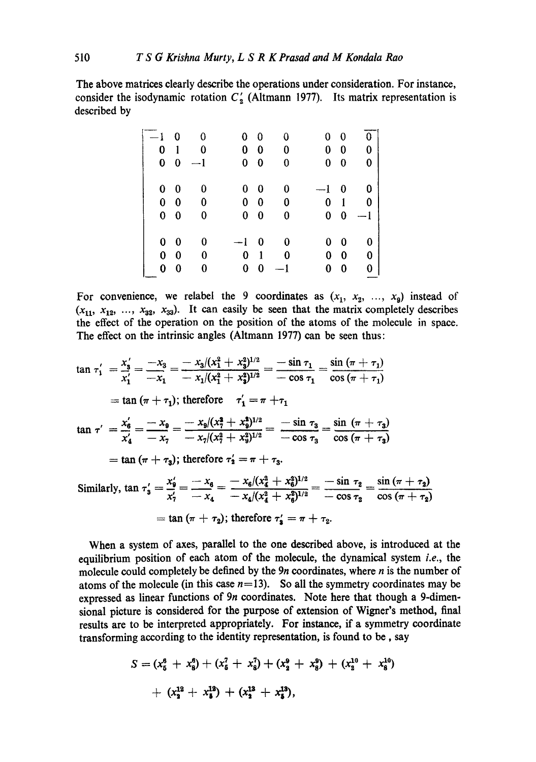The above matrices clearly describe the operations under consideration. For instance, consider the isodynamic rotation  $C'_2$  (Altmann 1977). Its matrix representation is described by

| $-1\quad 0$ |                | $\bf{0}$ |            | $0\quad 0$   | 0    |            | $0\quad 0$  | 0    |
|-------------|----------------|----------|------------|--------------|------|------------|-------------|------|
|             | 0 <sub>1</sub> | $\bf{0}$ |            | $0\quad 0$   | 0    |            | $0\quad 0$  | 0    |
|             | $0\quad 0$     | $-1$     |            | $0\quad 0$   | 0    |            | $0 \quad 0$ | 0    |
|             |                |          |            |              |      |            |             |      |
|             | $0\quad 0$     | 0        |            | $0\quad 0$   | 0    | $-1\quad0$ |             | 0    |
|             | $0\quad 0$     | 0        |            | $0\quad 0$   | 0    | $\bf{0}$   | -1          | 0    |
|             | $0\quad 0$     | 0        |            | $0\quad 0$   | 0    |            | $0\quad 0$  | $-1$ |
|             |                |          |            |              |      |            |             |      |
|             | $0\quad 0$     | 0        | $-1\quad0$ |              | 0    | 0          | $\bf{0}$    | 0    |
|             | $0\quad 0$     | $\bf{0}$ | 0          | $\mathbf{1}$ | 0    |            | $0\quad 0$  | 0    |
|             | $0 \quad 0$    | 0        | 0          | 0            | $-1$ | 0          | 0           | 0    |
|             |                |          |            |              |      |            |             |      |

For convenience, we relabel the 9 coordinates as  $(x_1, x_2, ..., x_9)$  instead of  $(x_{11}, x_{12}, ..., x_{32}, x_{33})$ . It can easily be seen that the matrix completely describes the effect of the operation on the position of the atoms of the molecule in space. The effect on the intrinsic angles (Altmann 1977) can be seen thus:

$$
\tan \tau_1' = \frac{x_3'}{x_1'} = \frac{-x_3}{-x_1} = \frac{-x_3/(x_1^2 + x_3^2)^{1/2}}{-x_1/(x_1^2 + x_3^2)^{1/2}} = \frac{-\sin \tau_1}{-\cos \tau_1} = \frac{\sin (\pi + \tau_1)}{\cos (\pi + \tau_1)}
$$
\n
$$
= \tan (\pi + \tau_1); \text{ therefore } \tau_1' = \pi + \tau_1
$$
\n
$$
\tan \tau' = \frac{x_6'}{x_4'} = \frac{-x_9}{-x_7} = \frac{-x_9/(x_7^2 + x_9^2)^{1/2}}{-x_7/(x_7^2 + x_9^2)^{1/2}} = \frac{-\sin \tau_3}{-\cos \tau_3} = \frac{\sin (\pi + \tau_3)}{\cos (\pi + \tau_3)}
$$
\n
$$
= \tan (\pi + \tau_3); \text{ therefore } \tau_2' = \pi + \tau_3.
$$
\nSimilarly,  $\tan \tau_3' = \frac{x_9'}{x_1'} = \frac{-x_9}{-x_1} = \frac{-x_6/(x_4^2 + x_9^2)^{1/2}}{-x_1/(x_2^2 + x_3^2)^{1/2}} = \frac{-\sin \tau_2}{-x_1} = \frac{\sin (\pi + \tau_2)}{\cos (\pi + \tau_1)}$ 

Similarly, 
$$
\tan \tau'_3 = \frac{x_9}{x'_7} = \frac{-x_6}{-x_4} = \frac{-x_6/(x_4^2 + x_6^2)^{1/2}}{-x_4/(x_4^2 + x_6^2)^{1/2}} = \frac{-\sin \tau_2}{-\cos \tau_2} = \frac{\sin (\pi + \tau_2)}{\cos (\pi + \tau_2)}
$$
  
=  $\tan (\pi + \tau_2)$ ; therefore  $\tau'_3 = \pi + \tau_2$ .

When a system of axes, parallel to the one described above, is introduced at the equilibrium position of each atom of the molecule, the dynamical system *i.e.,* the molecule could completely be defined by the  $9n$  coordinates, where  $n$  is the number of atoms of the molecule (in this case  $n=13$ ). So all the symmetry coordinates may be expressed as linear functions of 9n coordinates. Note here that though a 9-dimensional picture is considered for the purpose of extension of Wigner's method, final results are to be interpreted appropriately. For instance, if a symmetry coordinate transforming according to the identity representation, is found to be, say

$$
S = (x_5^6 + x_8^6) + (x_5^7 + x_8^7) + (x_2^9 + x_8^9) + (x_2^{10} + x_8^{10})
$$
  
+ 
$$
(x_2^{12} + x_8^{13}) + (x_2^{13} + x_8^{13})
$$
,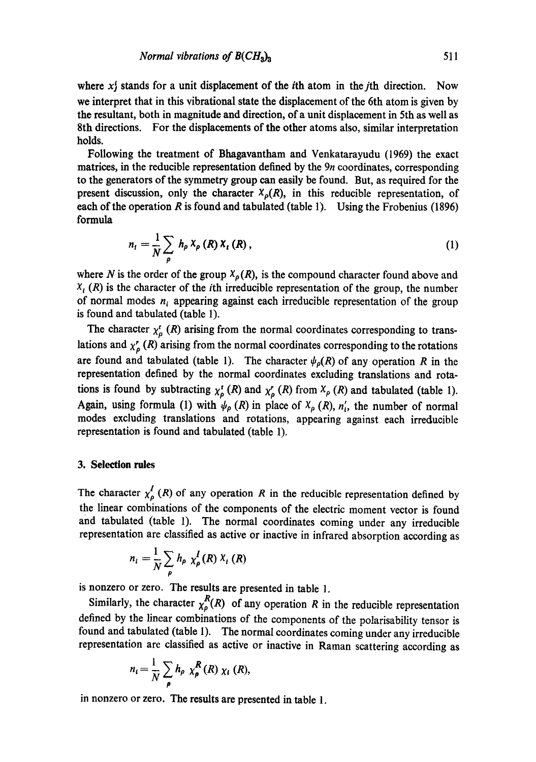where  $x_j^i$  stands for a unit displacement of the *i*th atom in the *j*th direction. Now we interpret that in this vibrational state the displacement of the 6th atom is given by the resultant, both in magnitude and direction, of a unit displacement in 5th as well as 8th directions. For the displacements of the other atoms also, similar interpretation holds.

Following the treatment of Bhagavantham and Venkatarayudu (1969) the exact matrices, in the reducible representation defined by the 9n coordinates, corresponding to the generators of the symmetry group can easily be found. But, as required for the present discussion, only the character  $X_p(R)$ , in this reducible representation, of each of the operation  $R$  is found and tabulated (table 1). Using the Frobenius (1896) formula

$$
n_{t} = \frac{1}{N} \sum_{\rho} h_{\rho} X_{\rho} (R) X_{t} (R) , \qquad (1)
$$

where N is the order of the group  $X_p(R)$ , is the compound character found above and  $X_i(R)$  is the character of the *i*th irreducible representation of the group, the number of normal modes  $n_i$  appearing against each irreducible representation of the group is found and tabulated (table 1).

The character  $\chi^t_\rho$  (R) arising from the normal coordinates corresponding to translations and  $\chi^r_{\rho}$  (R) arising from the normal coordinates corresponding to the rotations are found and tabulated (table 1). The character  $\psi_{\rho}(R)$  of any operation R in the representation defined by the normal coordinates excluding translations and rotations is found by subtracting  $\chi_{\rho}^t$  (R) and  $\chi_{\rho}^r$  (R) from  $\chi_{\rho}$  (R) and tabulated (table 1). Again, using formula (1) with  $\psi_{\rho}$  (R) in place of  $X_{\rho}$  (R),  $n'_{i}$ , the number of normal modes excluding translations and rotations, appearing against each irreducible representation is found and tabulated (table 1).

#### **3. Selection rules**

The character  $\chi^I_\rho(R)$  of any operation R in the reducible representation defined by the linear combinations of the components of the electric moment vector is found and tabulated (table 1). The normal coordinates coming under any irreducible representation are classified as active or inactive in infrared absorption according as

$$
n_i = \frac{1}{N} \sum_{\rho} h_{\rho} \chi_{\rho}^{I}(R) X_i(R)
$$

is nonzero or zero. The results are presented in table 1.

Similarly, the character  $\chi_p^R(R)$  of any operation R in the reducible representation defined by the linear combinations of the components of the polarisability tensor is found and tabulated (table 1). The normal coordinates coming under any irreducible representation are classified as active or inactive in Raman scattering according as

$$
n_i = \frac{1}{N} \sum_{\rho} h_{\rho} \chi_{\rho}^{\mathcal{R}}(R) \chi_i(R),
$$

in nonzero or zero. The results are presented in table 1.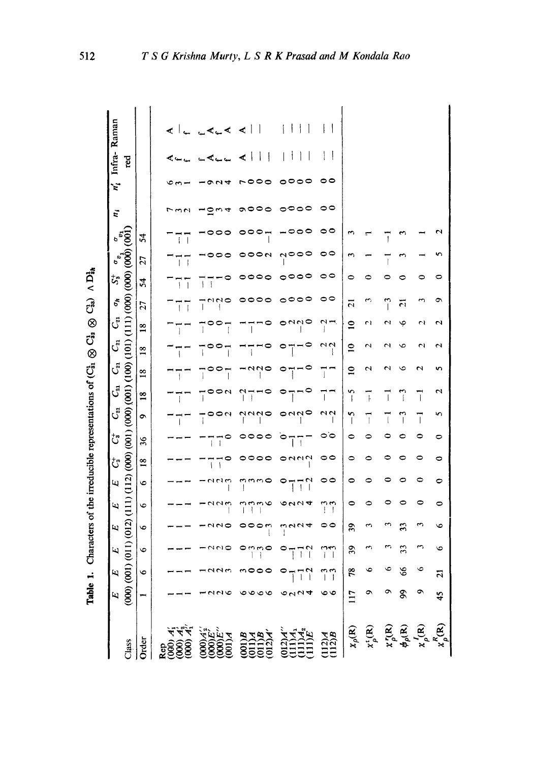| $\frac{E}{(000)}$   | $\overline{E}$                                            | $\overline{a}$                            | Щ                     | لتا           | Щ                          | $\mathcal{C}^{\dagger}$ | $\mathbf{\ddot{C}}$ | $C_{21}$                 | $C_{21}$                                 | $C_{21}$                      | $\mathcal{C}_{21}$    | $\mathbf{C}_i$   |                                       | $\zeta^*_2$         |                       |              | ë   | ŕ.   | Infra-                                                        | Raman                                          |
|---------------------|-----------------------------------------------------------|-------------------------------------------|-----------------------|---------------|----------------------------|-------------------------|---------------------|--------------------------|------------------------------------------|-------------------------------|-----------------------|------------------|---------------------------------------|---------------------|-----------------------|--------------|-----|------|---------------------------------------------------------------|------------------------------------------------|
|                     | $\bullet$                                                 | 001) (011) (012)<br>6                     | $\bullet$             | ۴             | $\bullet$                  | $\frac{8}{18}$          | 36                  | ۰                        | $\overline{18}$                          | $\overline{18}$               | $\frac{8}{18}$        | 18               | 27                                    | 54                  | 27                    | 24           |     |      | red                                                           |                                                |
|                     |                                                           |                                           |                       |               |                            |                         |                     | $\mathbf{I}$             | ī                                        |                               |                       |                  | 77                                    | ī<br>7              | T<br>$\overline{1}$   | ť<br>T       |     |      |                                                               | ⋖                                              |
|                     |                                                           | uuo                                       | រស់ទ                  | りいい           | $-$ ndm                    | $\overline{1}$          | ٠,<br>$\mathbf{I}$  | $\mathbf{I}$             | $\circ \circ \circ$<br>ד                 | $\circ$ $\circ$ $\frac{1}{1}$ | T<br>$\overline{1}$   | $\overline{1}$   | $\begin{array}{c} \hline \end{array}$ | ī<br>$\overline{1}$ |                       |              |     |      | $\overline{a}$                                                | 44.4                                           |
| ७<br>$\circ$        | 00<br>∾೦                                                  | $\circ$ and                               |                       | m             | nuuo                       | 0000                    |                     | $\frac{1}{2}$            | $\overline{\phantom{a}}$<br>$^{11}_{-1}$ | $-0.00$                       | $\overline{1}$        | $\overline{1}$   | 00                                    | 000                 | ೦೦೧<br>0              |              | 000 |      | $\vert \ \vert$<br>$\overline{\phantom{a}}$<br>≺              | $\Box$<br>$\mathbf{I}$<br>$\blacktriangleleft$ |
| 44<br>$\frac{1}{2}$ | $^{\circ}$ <sub>11</sub> <sup><math>^{\circ}</math></sup> | $\frac{1}{2}$<br>0<br>ī<br>$\mathfrak{f}$ | へいみ<br>က္ ရ           | 0.044         | $^{\circ}$ 17 <sup>2</sup> | $\sim$                  | P<br>Π<br>Ŧ         | $\circ$                  | ī                                        | $\circ$ 7- $\circ$            |                       |                  | ం                                     | 0000                | 0000                  |              | ಂಂಂ | 0000 | ł<br>$\mathbf{I}$<br>$\mathbf{I}$<br>$\overline{\phantom{a}}$ | $\vert \vert$<br>$\mathbf{1}$                  |
| $\circ$             | ოო                                                        | نتەن                                      | 00                    | $\frac{1}{2}$ | 00                         | $\circ$                 | 00                  | $\frac{2}{1}$            | Ï                                        | TT.                           | $\frac{2}{1}$         | $\sim$           | 00                                    | 00                  | 00                    | ∘            | 00  | 00   | $\Box$                                                        | ł                                              |
| 117                 | 78                                                        | $\overline{39}$                           | 39                    | 0             | 0                          | ⇨                       | 0                   | n<br>$\mathbf{I}$        | 5                                        | $\mathbf{a}$                  | $\overline{ }$        | $\overline{a}$   | $\overline{z}$                        | 0                   | $\tilde{\phantom{a}}$ |              |     |      |                                                               |                                                |
|                     |                                                           | ς                                         | $\tilde{\phantom{a}}$ | 0             |                            | 0                       | 0                   | 7                        | Ţ                                        | 2                             | $\mathbf{\mathsf{N}}$ | L1               | w,                                    | 0                   |                       |              |     |      |                                                               |                                                |
|                     | ٥                                                         |                                           |                       | 0             |                            | 0                       |                     | $\overline{\phantom{a}}$ | $\overline{1}$                           | $\mathrel{\sim}$              |                       | $\mathrel{\sim}$ | ှိ                                    | 0                   |                       | $\mathbf{I}$ |     |      |                                                               |                                                |
|                     | 89                                                        | 33                                        | 33                    |               |                            |                         | ∊                   | ှ                        | 7                                        | c                             | ७                     | پ                | គ                                     |                     |                       |              |     |      |                                                               |                                                |
|                     | ∘                                                         | 3                                         | m                     | 0             | 0                          | 0                       | 0                   | ī                        | ī                                        | N                             | N                     | ω                |                                       | 0                   |                       |              |     |      |                                                               |                                                |
| 45                  | ត                                                         | ७                                         | ७                     | 0             | 0                          | 0                       | 0                   | S                        | ٦                                        | n                             | $\mathbf{\hat{c}}$    | N                | ິ                                     | c                   |                       |              |     |      |                                                               |                                                |

Table 1. Characters of the irreducible representations of  $(C_{31} \otimes C_{33} \otimes C_{33})$   $\wedge D_{3h}$